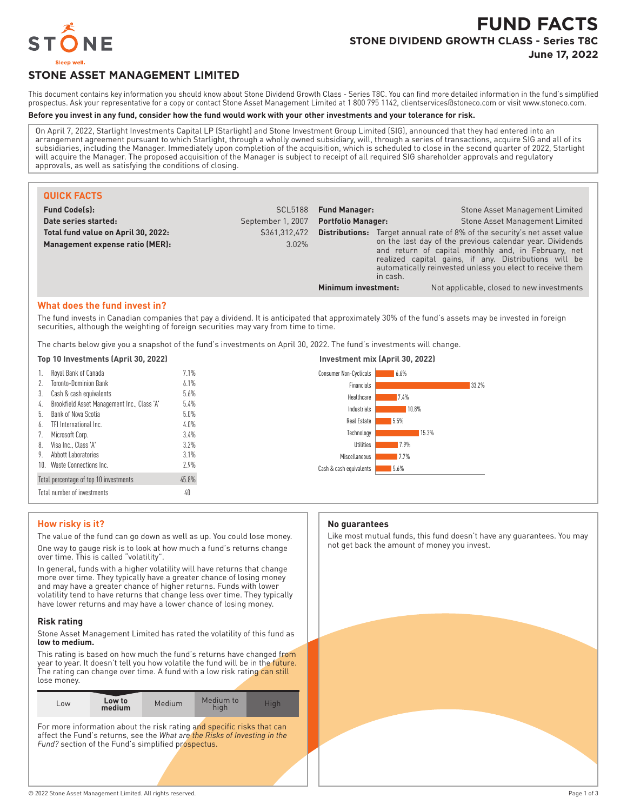

# **FUND FACTS STONE DIVIDEND GROWTH CLASS - Series T8C June 17, 2022**

# **STONE ASSET MANAGEMENT LIMITED**

This document contains key information you should know about Stone Dividend Growth Class - Series T8C. You can find more detailed information in the fund's simplified prospectus. Ask your representative for a copy or contact Stone Asset Management Limited at 1 800 795 1142, clientservices@stoneco.com or visit www.stoneco.com.

#### **Before you invest in any fund, consider how the fund would work with your other investments and your tolerance for risk.**

On April 7, 2022, Starlight Investments Capital LP (Starlight) and Stone Investment Group Limited (SIG), announced that they had entered into an arrangement agreement pursuant to which Starlight, through a wholly owned subsidiary, will, through a series of transactions, acquire SIG and all of its subsidiaries, including the Manager. Immediately upon completion of the acquisition, which is scheduled to close in the second quarter of 2022, Starlight will acquire the Manager. The proposed acquisition of the Manager is subject to receipt of all required SIG shareholder approvals and regulatory approvals, as well as satisfying the conditions of closing.

| <b>QUICK FACTS</b>                                                     |                        |                                                                                              |  |                                                                                                                                                                                                                                       |
|------------------------------------------------------------------------|------------------------|----------------------------------------------------------------------------------------------|--|---------------------------------------------------------------------------------------------------------------------------------------------------------------------------------------------------------------------------------------|
| <b>Fund Code(s):</b>                                                   | <b>SCL5188</b>         | <b>Fund Manager:</b>                                                                         |  | Stone Asset Management Limited                                                                                                                                                                                                        |
| Date series started:                                                   | September 1, 2007      | <b>Portfolio Manager:</b>                                                                    |  | Stone Asset Management Limited                                                                                                                                                                                                        |
| Total fund value on April 30, 2022:<br>Management expense ratio (MER): | \$361.312.472<br>3.02% | <b>Distributions:</b> Target annual rate of 8% of the security's net asset value<br>in cash. |  | on the last day of the previous calendar year. Dividends<br>and return of capital monthly and, in February, net<br>realized capital gains, if any. Distributions will be<br>automatically reinvested unless you elect to receive them |
|                                                                        |                        | Minimum investment:                                                                          |  | Not applicable, closed to new investments                                                                                                                                                                                             |

#### **What does the fund invest in?**

The fund invests in Canadian companies that pay a dividend. It is anticipated that approximately 30% of the fund's assets may be invested in foreign securities, although the weighting of foreign securities may vary from time to time.

The charts below give you a snapshot of the fund's investments on April 30, 2022. The fund's investments will change.

| 1.                                              | Royal Bank of Canada                        | 7.1% |  |
|-------------------------------------------------|---------------------------------------------|------|--|
| 2.                                              | Toronto-Dominion Bank                       | 6.1% |  |
| 3.                                              | Cash & cash equivalents                     | 5.6% |  |
| 4.                                              | Brookfield Asset Management Inc., Class 'A' | 5.4% |  |
| 5.                                              | Bank of Nova Scotia                         | 5.0% |  |
| 6.                                              | TFI International Inc.                      | 4.0% |  |
| 7.                                              | Microsoft Corp.                             | 3.4% |  |
| 8.                                              | Visa Inc., Class 'A'                        | 3.7% |  |
| 9.                                              | Abbott Laboratories                         | 3.1% |  |
| 10.                                             | Waste Connections Inc.                      | 7.9% |  |
| 45.8%<br>Total percentage of top 10 investments |                                             |      |  |
| Total number of investments<br>40               |                                             |      |  |



## **How risky is it?**

The value of the fund can go down as well as up. You could lose money. One way to gauge risk is to look at how much a fund's returns change over time. This is called "volatility".

In general, funds with a higher volatility will have returns that change more over time. They typically have a greater chance of losing money and may have a greater chance of higher returns. Funds with lower volatility tend to have returns that change less over time. They typically have lower returns and may have a lower chance of losing money.

#### **Risk rating**

Stone Asset Management Limited has rated the volatility of this fund as **low to medium.**

This rating is based on how much the fund's returns have changed from year to year. It doesn't tell you how volatile the fund will be in the future. The rating can change over time. A fund with a low risk rating can still lose money.

| medium<br>hiah | LOW | Low to | Medium | Medium to | Hiah |
|----------------|-----|--------|--------|-----------|------|
|----------------|-----|--------|--------|-----------|------|

For more information about the risk rating and specific risks that can affect the Fund's returns, see the *What are the Risks of Investing in the* Fund? section of the Fund's simplified prospectus.

#### **No guarantees**

Like most mutual funds, this fund doesn't have any guarantees. You may not get back the amount of money you invest.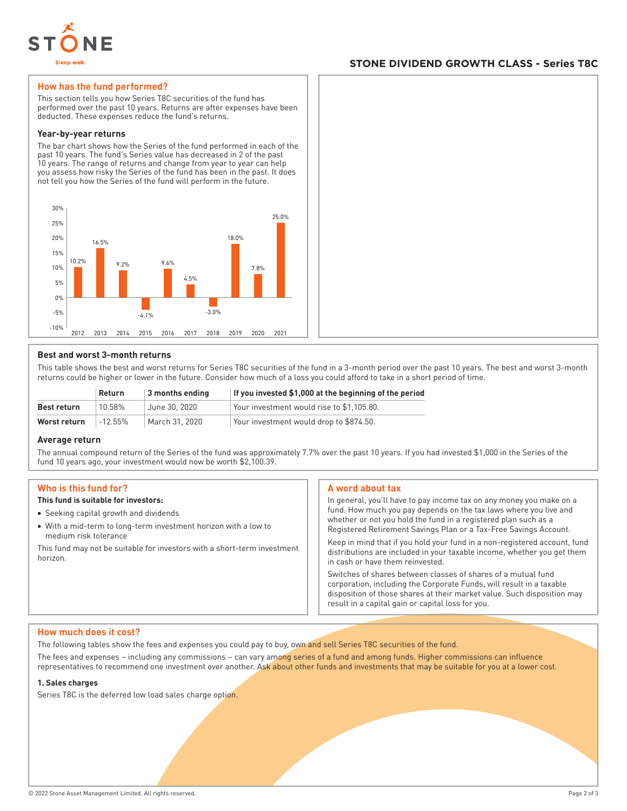

# **STONE DIVIDEND GROWTH CLASS - Series T8C**

### **How has the fund performed?**

This section tells you how Series T8C securities of the fund has performed over the past 10 years. Returns are after expenses have been deducted. These expenses reduce the fund's returns.

#### **Year-by-year returns**

The bar chart shows how the Series of the fund performed in each of the past 10 years. The fund's Series value has decreased in 2 of the past 10 years. The range of returns and change from year to year can help you assess how risky the Series of the fund has been in the past. It does not tell you how the Series of the fund will perform in the future.



#### **Best and worst 3-month returns**

This table shows the best and worst returns for Series T8C securities of the fund in a 3-month period over the past 10 years. The best and worst 3-month returns could be higher or lower in the future. Consider how much of a loss you could afford to take in a short period of time.

|              | <b>Return</b> | $\vert$ 3 months ending | If you invested \$1,000 at the beginning of the period |
|--------------|---------------|-------------------------|--------------------------------------------------------|
| Best return  | 10.58%        | June 30, 2020           | Your investment would rise to \$1.105.80.              |
| Worst return | $-12.55\%$    | March 31, 2020          | Your investment would drop to \$874.50.                |

#### **Average return**

The annual compound return of the Series of the fund was approximately 7.7% over the past 10 years. If you had invested \$1,000 in the Series of the fund 10 years ago, your investment would now be worth \$2,100.39.

#### **Who is this fund for?**

## **This fund is suitable for investors:**

- Seeking capital growth and dividends
- With a mid-term to long-term investment horizon with a low to medium risk tolerance

This fund may not be suitable for investors with a short-term investment horizon.

#### **A word about tax**

In general, you'll have to pay income tax on any money you make on a fund. How much you pay depends on the tax laws where you live and whether or not you hold the fund in a registered plan such as a Registered Retirement Savings Plan or a Tax-Free Savings Account.

Keep in mind that if you hold your fund in a non-registered account, fund distributions are included in your taxable income, whether you get them in cash or have them reinvested.

Switches of shares between classes of shares of a mutual fund corporation, including the Corporate Funds, will result in a taxable disposition of those shares at their market value. Such disposition may result in a capital gain or capital loss for you.

#### **How much does it cost?**

The following tables show the fees and expenses you could pay to buy, own and sell Series T8C securities of the fund.

The fees and expenses – including any commissions – can vary among series of a fund and among funds. Higher commissions can influence representatives to recommend one investment over another. Ask about other funds and investments that may be suitable for you at a lower cost.

#### **1. Sales charges**

Series T8C is the deferred low load sales charge option.